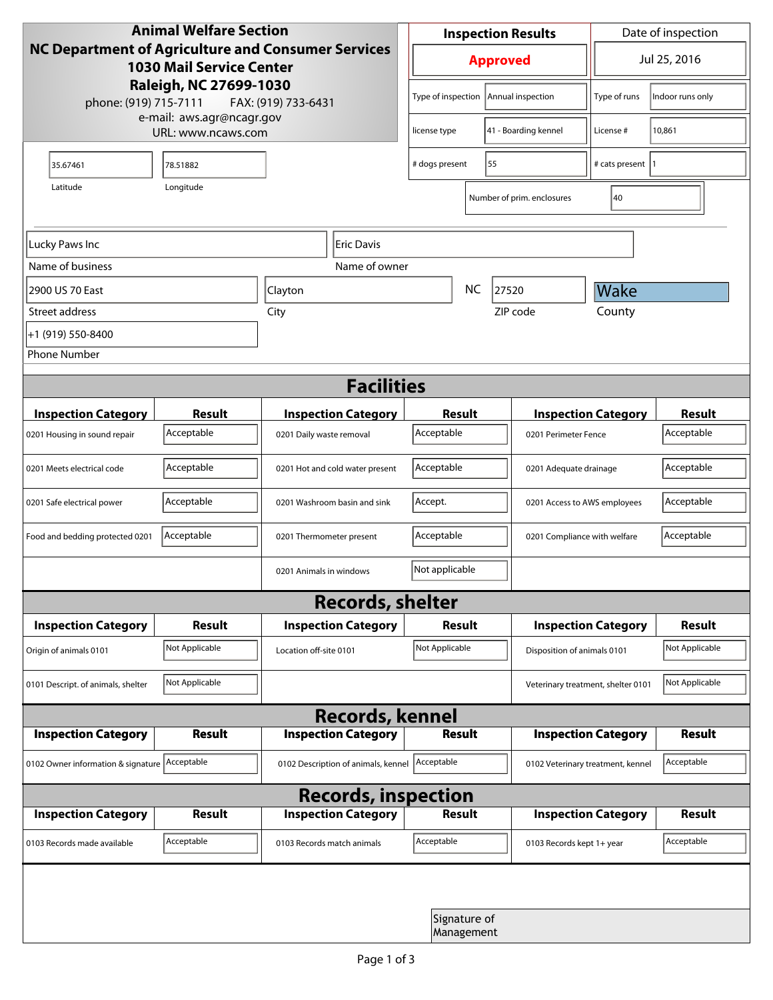| <b>Animal Welfare Section</b><br>NC Department of Agriculture and Consumer Services<br><b>1030 Mail Service Center</b><br>Raleigh, NC 27699-1030<br>phone: (919) 715-7111<br>FAX: (919) 733-6431 |                |                                     | <b>Inspection Results</b>                  |  |                                    | Date of inspection         |                  |  |
|--------------------------------------------------------------------------------------------------------------------------------------------------------------------------------------------------|----------------|-------------------------------------|--------------------------------------------|--|------------------------------------|----------------------------|------------------|--|
|                                                                                                                                                                                                  |                |                                     | <b>Approved</b>                            |  |                                    | Jul 25, 2016               |                  |  |
|                                                                                                                                                                                                  |                |                                     | Type of inspection                         |  | Annual inspection                  | Type of runs               | Indoor runs only |  |
| e-mail: aws.agr@ncagr.gov<br>URL: www.ncaws.com                                                                                                                                                  |                |                                     | license type                               |  | 41 - Boarding kennel               | License #                  | 10,861           |  |
| 35.67461                                                                                                                                                                                         | 78.51882       |                                     | 55<br># dogs present                       |  |                                    | # cats present  1          |                  |  |
| Latitude                                                                                                                                                                                         | Longitude      |                                     |                                            |  | Number of prim. enclosures         | 40                         |                  |  |
| Lucky Paws Inc                                                                                                                                                                                   |                | Eric Davis                          |                                            |  |                                    |                            |                  |  |
| Name of business                                                                                                                                                                                 |                | Name of owner                       |                                            |  |                                    |                            |                  |  |
| 2900 US 70 East                                                                                                                                                                                  |                | Clayton                             | <b>NC</b>                                  |  | 27520                              | Wake                       |                  |  |
| Street address                                                                                                                                                                                   |                | City                                |                                            |  | ZIP code                           | County                     |                  |  |
| +1 (919) 550-8400                                                                                                                                                                                |                |                                     |                                            |  |                                    |                            |                  |  |
| <b>Phone Number</b>                                                                                                                                                                              |                |                                     |                                            |  |                                    |                            |                  |  |
| <b>Facilities</b>                                                                                                                                                                                |                |                                     |                                            |  |                                    |                            |                  |  |
| <b>Inspection Category</b>                                                                                                                                                                       | Result         | <b>Inspection Category</b>          | Result                                     |  |                                    | <b>Inspection Category</b> | <b>Result</b>    |  |
| 0201 Housing in sound repair                                                                                                                                                                     | Acceptable     | 0201 Daily waste removal            | Acceptable                                 |  | 0201 Perimeter Fence               |                            | Acceptable       |  |
| 0201 Meets electrical code                                                                                                                                                                       | Acceptable     | 0201 Hot and cold water present     | Acceptable<br>0201 Adequate drainage       |  |                                    | Acceptable                 |                  |  |
| 0201 Safe electrical power                                                                                                                                                                       | Acceptable     | 0201 Washroom basin and sink        | Accept.<br>0201 Access to AWS employees    |  |                                    | Acceptable                 |                  |  |
| Food and bedding protected 0201                                                                                                                                                                  | Acceptable     | 0201 Thermometer present            | Acceptable<br>0201 Compliance with welfare |  |                                    | Acceptable                 |                  |  |
| Not applicable<br>0201 Animals in windows                                                                                                                                                        |                |                                     |                                            |  |                                    |                            |                  |  |
| <b>Records, shelter</b>                                                                                                                                                                          |                |                                     |                                            |  |                                    |                            |                  |  |
| <b>Inspection Category</b>                                                                                                                                                                       | Result         | <b>Inspection Category</b>          | Result                                     |  |                                    | <b>Inspection Category</b> | Result           |  |
| Origin of animals 0101                                                                                                                                                                           | Not Applicable | Location off-site 0101              | Not Applicable                             |  | Disposition of animals 0101        |                            | Not Applicable   |  |
| 0101 Descript. of animals, shelter                                                                                                                                                               | Not Applicable |                                     |                                            |  | Veterinary treatment, shelter 0101 |                            | Not Applicable   |  |
| <b>Records, kennel</b>                                                                                                                                                                           |                |                                     |                                            |  |                                    |                            |                  |  |
| <b>Inspection Category</b>                                                                                                                                                                       | Result         | <b>Inspection Category</b>          | <b>Result</b>                              |  |                                    | <b>Inspection Category</b> | <b>Result</b>    |  |
| 0102 Owner information & signature Acceptable                                                                                                                                                    |                | 0102 Description of animals, kennel | Acceptable                                 |  | 0102 Veterinary treatment, kennel  |                            | Acceptable       |  |
| <b>Records, inspection</b>                                                                                                                                                                       |                |                                     |                                            |  |                                    |                            |                  |  |
| <b>Inspection Category</b>                                                                                                                                                                       | <b>Result</b>  | <b>Inspection Category</b>          | Result                                     |  |                                    | <b>Inspection Category</b> | <b>Result</b>    |  |
| 0103 Records made available                                                                                                                                                                      | Acceptable     | 0103 Records match animals          | Acceptable                                 |  | 0103 Records kept 1+ year          |                            | Acceptable       |  |
|                                                                                                                                                                                                  |                |                                     |                                            |  |                                    |                            |                  |  |
|                                                                                                                                                                                                  |                |                                     | Signature of<br>Management                 |  |                                    |                            |                  |  |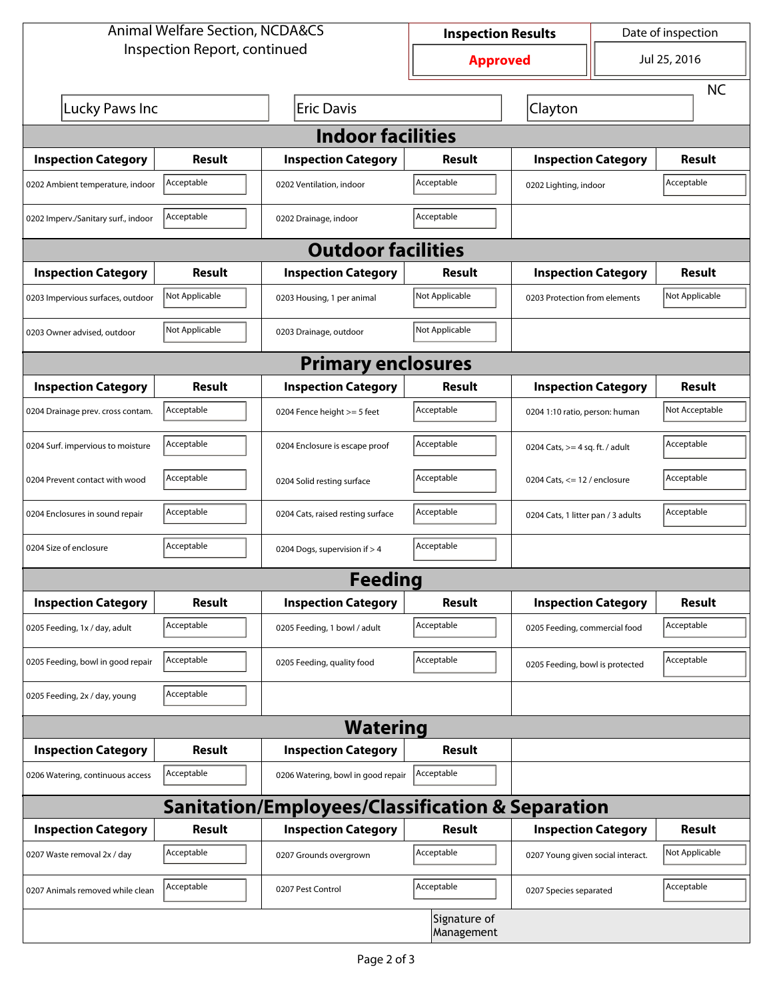| <b>Animal Welfare Section, NCDA&amp;CS</b>                  |                |                                    | <b>Inspection Results</b>  |                                     |              | Date of inspection |  |  |
|-------------------------------------------------------------|----------------|------------------------------------|----------------------------|-------------------------------------|--------------|--------------------|--|--|
| Inspection Report, continued                                |                |                                    | <b>Approved</b>            |                                     | Jul 25, 2016 |                    |  |  |
|                                                             |                |                                    |                            |                                     |              | <b>NC</b>          |  |  |
| Lucky Paws Inc                                              |                | <b>Eric Davis</b>                  |                            | Clayton                             |              |                    |  |  |
| <b>Indoor facilities</b>                                    |                |                                    |                            |                                     |              |                    |  |  |
| <b>Inspection Category</b>                                  | Result         | <b>Inspection Category</b>         | Result                     | <b>Inspection Category</b>          |              | Result             |  |  |
| 0202 Ambient temperature, indoor                            | Acceptable     | 0202 Ventilation, indoor           | Acceptable                 | Acceptable<br>0202 Lighting, indoor |              |                    |  |  |
| 0202 Imperv./Sanitary surf., indoor                         | Acceptable     | 0202 Drainage, indoor              | Acceptable                 |                                     |              |                    |  |  |
|                                                             |                | <b>Outdoor facilities</b>          |                            |                                     |              |                    |  |  |
| <b>Inspection Category</b>                                  | Result         | <b>Inspection Category</b>         | Result                     | <b>Inspection Category</b>          |              | Result             |  |  |
| 0203 Impervious surfaces, outdoor                           | Not Applicable | 0203 Housing, 1 per animal         | Not Applicable             | 0203 Protection from elements       |              | Not Applicable     |  |  |
| 0203 Owner advised, outdoor                                 | Not Applicable | 0203 Drainage, outdoor             | Not Applicable             |                                     |              |                    |  |  |
|                                                             |                | <b>Primary enclosures</b>          |                            |                                     |              |                    |  |  |
| <b>Inspection Category</b>                                  | Result         | <b>Inspection Category</b>         | Result                     | <b>Inspection Category</b>          |              | <b>Result</b>      |  |  |
| 0204 Drainage prev. cross contam.                           | Acceptable     | 0204 Fence height >= 5 feet        | Acceptable                 | 0204 1:10 ratio, person: human      |              | Not Acceptable     |  |  |
| 0204 Surf. impervious to moisture                           | Acceptable     | 0204 Enclosure is escape proof     | Acceptable                 | 0204 Cats, $>=$ 4 sq. ft. / adult   |              | Acceptable         |  |  |
| 0204 Prevent contact with wood                              | Acceptable     | 0204 Solid resting surface         | Acceptable                 | 0204 Cats, $<= 12$ / enclosure      |              | Acceptable         |  |  |
| 0204 Enclosures in sound repair                             | Acceptable     | 0204 Cats, raised resting surface  | Acceptable                 | 0204 Cats, 1 litter pan / 3 adults  |              | Acceptable         |  |  |
| 0204 Size of enclosure                                      | Acceptable     | 0204 Dogs, supervision if > 4      | Acceptable                 |                                     |              |                    |  |  |
| <b>Feeding</b>                                              |                |                                    |                            |                                     |              |                    |  |  |
| <b>Inspection Category</b>                                  | <b>Result</b>  | <b>Inspection Category</b>         | Result                     | <b>Inspection Category</b>          |              | <b>Result</b>      |  |  |
| 0205 Feeding, 1x / day, adult                               | Acceptable     | 0205 Feeding, 1 bowl / adult       | Acceptable                 | 0205 Feeding, commercial food       |              | Acceptable         |  |  |
| 0205 Feeding, bowl in good repair                           | Acceptable     | 0205 Feeding, quality food         | Acceptable                 | 0205 Feeding, bowl is protected     |              | Acceptable         |  |  |
| 0205 Feeding, 2x / day, young                               | Acceptable     |                                    |                            |                                     |              |                    |  |  |
| <b>Watering</b>                                             |                |                                    |                            |                                     |              |                    |  |  |
| <b>Inspection Category</b>                                  | <b>Result</b>  | <b>Inspection Category</b>         | Result                     |                                     |              |                    |  |  |
| 0206 Watering, continuous access                            | Acceptable     | 0206 Watering, bowl in good repair | Acceptable                 |                                     |              |                    |  |  |
| <b>Sanitation/Employees/Classification &amp; Separation</b> |                |                                    |                            |                                     |              |                    |  |  |
| <b>Inspection Category</b>                                  | <b>Result</b>  | <b>Inspection Category</b>         | Result                     | <b>Inspection Category</b>          |              | <b>Result</b>      |  |  |
| 0207 Waste removal 2x / day                                 | Acceptable     | 0207 Grounds overgrown             | Acceptable                 | 0207 Young given social interact.   |              | Not Applicable     |  |  |
| 0207 Animals removed while clean                            | Acceptable     | 0207 Pest Control                  | Acceptable                 | 0207 Species separated              |              | Acceptable         |  |  |
|                                                             |                |                                    | Signature of<br>Management |                                     |              |                    |  |  |